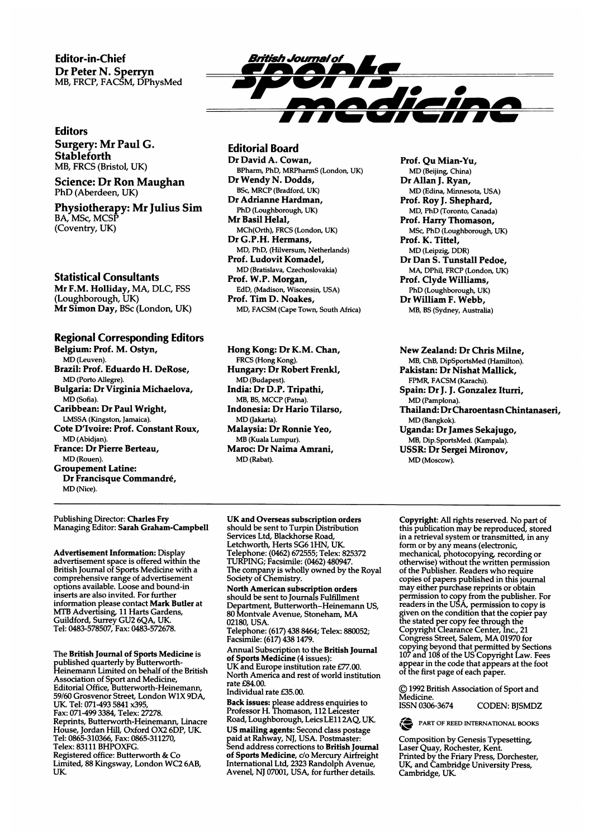Editor-in-Chief Dr Peter N. Sperryn MB, FRCP, FACSM, DPhysMed

#### Editors

Surgery: Mr Paul G. Stableforth MB, FRCS (Bristol, UK)

#### Science: Dr Ron Maughan PhD (Aberdeen, UK)

Physiotherapy: Mr Julius Sim BA, MSc, MCSP (Coventry, UK)

#### Statistical Consultants

Mr F.M. Holliday, MA, DLC, FSS (Loughborough, UK) Mr Simon Day, BSc (London, UK)

### Regional Corresponding Editors

Belgium: Prof. M. Ostyn, MD (Leuven). Brazil: Prof. Eduardo H. DeRose, MD (Porto Allegre). Bulgaria: Dr Virginia Michaelova, MD (Sofia). Caribbean: Dr Paul Wright, LMSSA (Kingston, Jamaica). Cote D'Ivoire: Prof. Constant Roux, MD (Abidjan). France: Dr Pierre Berteau, MD (Rouen) Groupement Latine: Dr Francisque Commandre,

Publishing Director: Charles Fry Managing Editor: Sarah Graham-Campbell

MD (Nice).

Advertisement Information: Display advertisement space is offered within the British Journal of Sports Medicine with a comprehensive range of advertisement options available. Loose and bound-in inserts are also invited. For further information please contact Mark Butler at TB Advertising, 11 Harts Gardens,<br>uildford, Surrey GU2 6QA, UK. Tel: 0483-578507, Fax: 0483-572678.

The British Journal of Sports Medicine is published quarterly by Butterworth-Heinemann Limited on behalf of the British ssociation of Sport and Medicine, litorial Office, Butterworth-Heinemann, 59/60 Grosvenor Street, London W1X 9DA, UK Tel: 071-493 <sup>5841</sup> x395, Fax: 071-499 3384, Telex: 27278. Reprints, Butterworth-Heinemann, Linacre House, Jordan Hill, Oxford OX2 6DP, UK. Tel: 0865-310366, Fax: 0865-311270, Telex: 83111 BHPOXFG. Registered office: Butterworth & Co Limited, <sup>88</sup> Kingsway, London WC2 6AB, UK.



#### Editorial Board

Dr David A. Cowan, BPharm, PhD, MRPharmS (London, UK) Dr Wendy N. Dodds, BSc, MRCP (Bradford, UK) Dr Adrianne Hardman, PhD (Loughborough, UK) Mr Basil Helal, MCh(Orth), FRCS (London, UK) Dr G.P.H. Hermans, MD, PhD, (Hilversum, Netherlands) Prof. Ludovit Komadel, MD (Bratislava, Czechoslovakia) Prof. W.P. Morgan, EdD, (Madison, Wisconsin, USA) Prof. Tim D. Noakes, MD, FACSM (Cape Town, South Africa)

Hong Kong: Dr K.M. Chan, FRCS (Hong Kong). Hungary: Dr Robert Frenkl, MD (Budapest). India: Dr D.P. Tripathi, MB, BS, MCCP (Patna). Indonesia: Dr Hario Tilarso, MD (Jakarta). Malaysia: Dr Ronnie Yeo, MB (Kuala Lumpur). Maroc: Dr Naima Amrani, MD (Rabat).

Prof. Qu Mian-Yu, MD (Beijing, China) Dr Allan J. Ryan, MD (Edina, Minnesota, USA) Prof. Roy J. Shephard, MD, PhD (Toronto, Canada) Prof. Harry Thomason, MSc, PhD (Loughborough, UK) Prof. K. Tittel, MD (Leipzig, DDR) Dr Dan S. Tunstall Pedoe, MA, DPhil, FRCP (London, UK) Prof. Clyde Williams, PhD (Loughborough, UK) Dr William F. Webb, MB, BS (Sydney, Australia)

New Zealand: Dr Chris Milne, MB, ChB, DipSportsMed (Hamilton). Pakistan: Dr Nishat Mallick, FPMR, FACSM (Karachi). Spain: Dr J. J. Gonzalez Iturri, MD (Pamplona). Thailand: Dr Charoentasn Chintanaseri, MD (Bangkok). Uganda: Dr James Sekajugo, MB, Dip.SportsMed. (Kampala).

USSR: Dr Sergei Mironov, MD (Moscow).

#### UK and Overseas subscription orders should be sent to Turpin Distribution Services Ltd, Blackhorse Road, Letchworth, Herts SG6 1HN, UK Telephone: (0462) 672555; Telex: 825372 TURPING; Facsimile: (0462) 480947. The company is wholly owned by the Royal Society of Chemistry.

North American subscription orders should be sent to Journals Fulfillment Department, Butterworth-Heinemann US, <sup>80</sup> Montvale Avenue, Stoneham, MA 02180, USA.

elephone: (617) 438 8464; Telex: 880052;<br>acsimile: (617) 438 1479.

Annual Subscription to the British Journal of Sports Medicine (4 issues): UK and Europe institution rate £77.00. North America and rest of world institution rate £84.00. Individual rate £35.00.

ack issues: please address enquiries to ofessor H. Thomason, 112 Leicester<br>əad. Loughborough, Leics LE11 2AO, UK. US mailing agents: Second class postage paid at Rahway, NJ, USA. Postmaster:  $\mathbf{S}$  address corrections to British Journal Sports Medicine, c/o Mercury Airfreight<br>ternational Ltd, 2323 Randolph Avenue Avenel, NJ 07001, USA, for further details.

Copyright: All rights reserved. No part of his publication may be reproduced, stored in a retrieval system or transmitted, in any form or by any means (electronic, mechanical, photocopying, recording or otherwise) without the written permission of the Publisher. Readers who require copies of papers published in this journal may either purchase reprints or obtain permission to copy from the publisher. For  $\epsilon$ aders in the USA, permission to copy is iven on the condition that the copier pay the stated per copy fee through the Copyright Clearance Center, Inc., 21 Congress Street, Salem, MA <sup>01970</sup> for copying beyond that permitted by Sections 107 and 108 of the US Copyright Law. Fees ppear in the code that appears at the foot  $\frac{1}{2}$  the first page of each paper.

(© <sup>1992</sup> British Association of Sport and Medicine.

ISSN 0306-3674 CODEN: BJSMDZ

PART OF REED INTERNATIONAL BOOKS

Composition by Genesis Typesetting, empermently Schools Types. rista Quay, Nothester, Nerit.<br>Fried by the Friary Press, Dorchester, Hitch by the Friday Fress, Duitnester, ry and Cambrid<br>Smbridge, UK.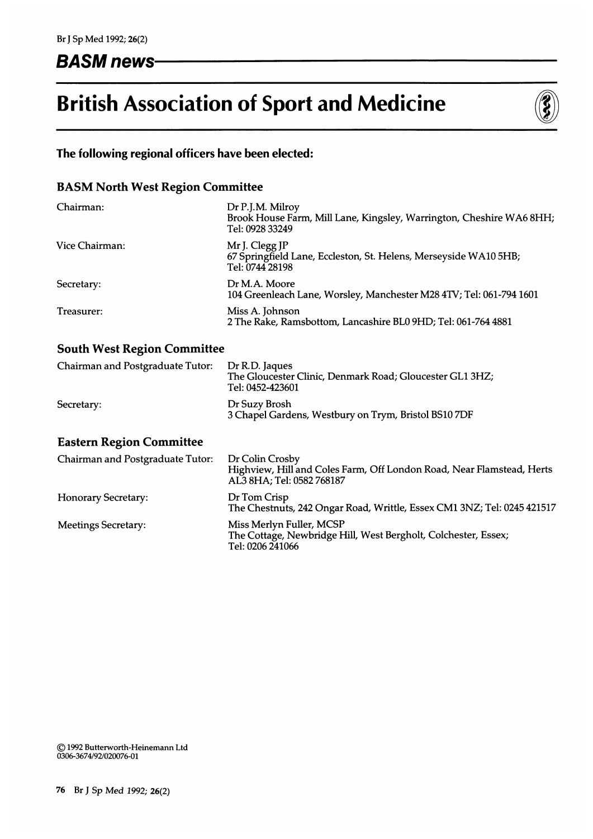# BASM news

# British Association of Sport and Medicine



# The following regional officers have been elected:

# BASM North West Region Committee

| Chairman:      | Dr P.J.M. Milroy<br>Brook House Farm, Mill Lane, Kingsley, Warrington, Cheshire WA6 8HH;<br>Tel: 0928 33249 |
|----------------|-------------------------------------------------------------------------------------------------------------|
| Vice Chairman: | Mr J. Clegg JP<br>67 Springfield Lane, Eccleston, St. Helens, Merseyside WA10 5HB;<br>Tel: 0744 28198       |
| Secretary:     | Dr M.A. Moore<br>104 Greenleach Lane, Worsley, Manchester M28 4TV; Tel: 061-794 1601                        |
| Treasurer:     | Miss A. Johnson<br>2 The Rake, Ramsbottom, Lancashire BL0 9HD; Tel: 061-764 4881                            |

# South West Region Committee

| Chairman and Postgraduate Tutor: | Dr R.D. Jaques<br>The Gloucester Clinic, Denmark Road; Gloucester GL1 3HZ;<br>Tel: 0452-423601 |
|----------------------------------|------------------------------------------------------------------------------------------------|
| Secretary:                       | Dr Suzy Brosh<br>3 Chapel Gardens, Westbury on Trym, Bristol BS107DF                           |

### Eastern Region Committee

| Chairman and Postgraduate Tutor: | Dr Colin Crosby<br>Highview, Hill and Coles Farm, Off London Road, Near Flamstead, Herts<br>AL3 8HA; Tel: 0582 768187 |
|----------------------------------|-----------------------------------------------------------------------------------------------------------------------|
| <b>Honorary Secretary:</b>       | Dr Tom Crisp<br>The Chestnuts, 242 Ongar Road, Writtle, Essex CM1 3NZ; Tel: 0245 421517                               |
| <b>Meetings Secretary:</b>       | Miss Merlyn Fuller, MCSP<br>The Cottage, Newbridge Hill, West Bergholt, Colchester, Essex;<br>Tel: 0206 241066        |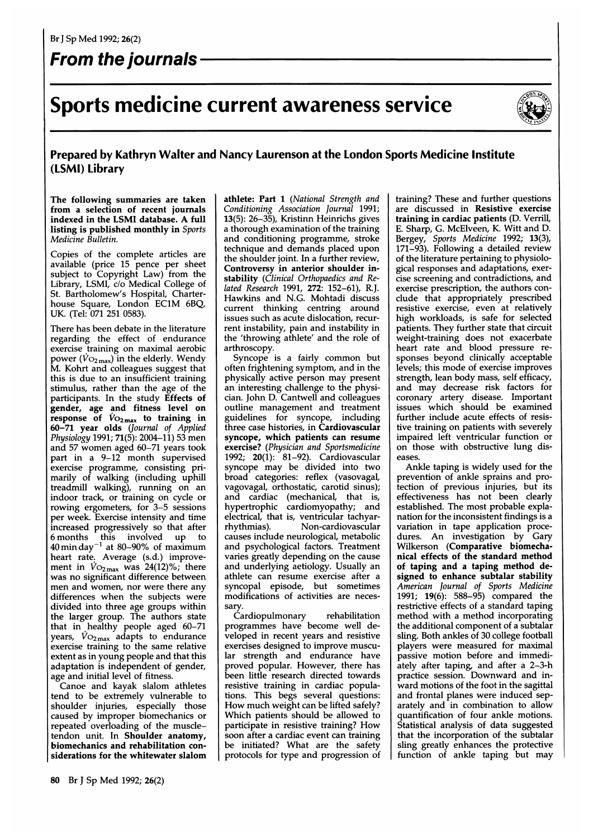# From the journals

# Sports medicine current awareness service



### Prepared by Kathryn Walter and Nancy Laurenson at the London Sports Medicine Institute (LSMI) Library

The following summaries are taken from a selection of recent journals indexed in the LSMI database. A full listing is published monthly in Sports Medicine Bulletin.

Copies of the complete articles are available (price 15 pence per sheet abject to Copyright Law) from the ibrary, LSMI, c/o Medical College of St. Bartholomew's Hospital, Charterhouse Square, London EC1M 6BQ, UK. (Tel: 071 251 0583).

There has been debate in the literature regarding the effect of endurance exercise training on maximal aerobic power ( $\dot{V}$ O<sub>2max</sub>) in the elderly. Wendy M. Kohrt and colleagues suggest that this is due to an insufficient training stimulus, rather than the age of the articipants. In the study **Effects of** ender, age and fitness level on esponse of  $Vo_{2\max}$  to training in 60-71 year olds (Journal of Applied Physiology 1991; 71(5): 2004-11) 53 men and 57 women aged 60-71 years took part in a 9-12 month supervised exercise programme, consisting primarily of walking (including uphill treadmill walking), running on an idoor track, or training on cycle or owing ergometers, for 3–5 sessions per week. Exercise intensity and time increased progressively so that after 6 months this involved up to ) min day $^{-1}$  at 80–90% of maximum 40 min day at ou-zo to be maximum.<br>heart rate. Average (s.d.) improvement in  $\dot{V}$ O<sub>2max</sub> was 24(12)%; there was no significant difference between men and women, nor were there any differences when the subjects were divided into three age groups within the larger group. The authors state at in healthy people aged 60–71 ears,  $V_{\rm O_{2\,max}}$  adapts to endurance exercise training to the same relative extent as in young people and that this adaptation is independent of gender, age and initial level of fitness.

Canoe and kayak slalom athletes tend to be extremely vulnerable to shoulder injuries, especially those caused by improper biomechanics or repeated overloading of the muscletendon unit. In Shoulder anatomy, biomechanics and rehabilitation considerations for the whitewater slalom athlete: Part 1 (National Strength and Conditioning Association Journal 1991; 13(5): 26-35), Kristinn Heinrichs gives a thorough examination of the training and conditioning programme, stroke technique and demands placed upon the shoulder joint. In a further review, Controversy in anterior shoulder instability (Clinical Orthopaedics and Related Research 1991, 272: 152-61), R.J. Hawkins and N.G. Mohtadi discuss current thinking centring around issues such as acute dislocation, recurrent instability, pain and instability in the 'throwing athlete' and the role of arthroscopy.

Syncope is <sup>a</sup> fairly common but often frightening symptom, and in the physically active person may present an interesting challenge to the physician. John D. Cantwell and colleagues outline management and treatment guidelines for syncope, including three case histories, in Cardiovascular ncope, which patients can resume/ **kercise?** (Physician and Sportsmedicine 1992; 20(1): 81-92). Cardiovascular syncope may be divided into two broad categories: reflex (vasovagal, vagovagal, orthostatic, carotid sinus); and cardiac (mechanical, that is, hypertrophic cardiomyopathy; and electrical, that is, ventricular tachyarrhythmias). Non-cardiovascular causes include neurological, metabolic and psychological factors. Treatment varies greatly depending on the cause and underlying aetiology. Usually an athlete can resume exercise after a syncopal episode, but sometimes modifications of activities are necessary.

ardiopulmonary rehabilitation programmes have become well developed in recent years and resistive exercises designed to improve muscular strength and endurance have proved popular. However, there has been little research directed towards resistive training in cardiac populations. This begs several questions: How much weight can be lifted safely? Which patients should be allowed to participate in resistive training? How soon after a cardiac event can training be initiated? What are the safety protocols for type and progression of

training? These and further questions are discussed in Resistive exercise training in cardiac patients (D. Verrill, E. Sharp, G. McElveen, K. Witt and D. Bergey, Sports Medicine 1992; 13(3), 171-93). Following a detailed review of the literature pertaining to physiological responses and adaptations, exercise screening and contradictions, and exercise prescription, the authors conclude that appropriately prescribed esistive exercise, even at relatively igh workloads, is safe for selected patients. They further state that circuit weight-training does not exacerbate eart rate and blood pressure reponses beyond clinically acceptable levels; this mode of exercise improves strength, lean body mass, self efficacy, nd may decrease risk factors for oronary artery disease. Important issues which should be examined further include acute effects of resistive training on patients with severely impaired left ventricular function or on those with obstructive lung diseases.

Ankle taping is widely used for the prevention of ankle sprains and protection of previous injuries, but its effectiveness has not been clearly established. The most probable explanation for the inconsistent findings is a ariation in tape application proce-<br>ures. An investigation by Gary Wilkerson (Comparative biomechanical effects of the standard method of taping and a taping method designed to enhance subtalar stability merican Journal of Sports Medicine 1991; 19(6): 588-95) compared the restrictive effects of a standard taping method with a method incorporating the additional component of a subtalar sling. Both ankles of 30 college football players were measured for maximal passive motion before and immediately after taping, and after a 2-3-h  $\frac{1}{2}$  ractice session. Downward and inward motions of the foot in the sagittal and frontal planes were induced separately and in combination to allow quantification of four ankle motions. Statistical analysis of data suggested that the incorporation of the subtalar  $\frac{1}{2}$  ing greatly enhances the protective ing greatly emittices the protective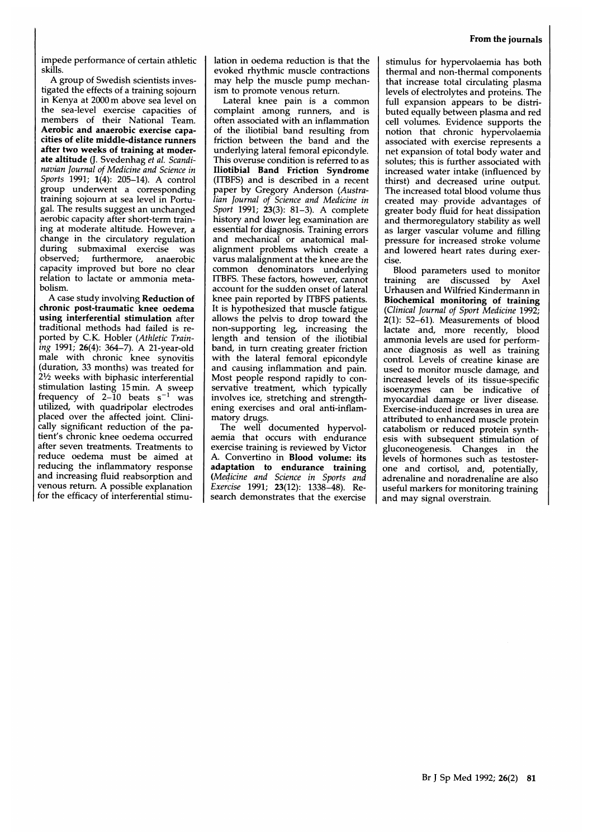impede performance of certain athletic skills.

A group of Swedish scientists investigated the effects of a training sojourn in Kenya at <sup>2000</sup> m above sea level on the sea-level exercise capacities of members of their National Team. Aerobic and anaerobic exercise capacities of elite middle-distance runners after two weeks of training at moderate altitude (J. Svedenhag et al. Scandinavian Journal of Medicine and Science in Sports 1991; 1(4): 205-14). A control group underwent a corresponding training sojourn at sea level in Portugal. The results suggest an unchanged aerobic capacity after short-term training at moderate altitude. However, a change in the circulatory regulation during submaximal exercise was observed; furthermore, anaerobic capacity improved but bore no clear relation to lactate or ammonia metabolism.

A case study involving Reduction of chronic post-traumatic knee oedema using interferential stimulation after traditional methods had failed is reported by C.K. Hobler (Athletic Training 1991; 26(4): 364-7). A 21-year-old male with chronic knee synovitis (duration, 33 months) was treated for  $2\frac{1}{2}$  weeks with biphasic interferential stimulation lasting <sup>15</sup> min. A sweep frequency of 2–10 beats  $s^{-1}$  was utilized, with quadripolar electrodes placed over the affected joint. Clinically significant reduction of the patient's chronic knee oedema occurred after seven treatments. Treatments to reduce oedema must be aimed at reducing the inflammatory response and increasing fluid reabsorption and venous return. A possible explanation for the efficacy of interferential stimulation in oedema reduction is that the evoked rhythmic muscle contractions may help the muscle pump mechanism to promote venous return.

Lateral knee pain is <sup>a</sup> common complaint among runners, and is often associated with an inflammation of the iliotibial band resulting from friction between the band and the underlying lateral femoral epicondyle. This overuse condition is referred to as Iliotibial Band Friction Syndrome (ITBFS) and is described in a recent paper by Gregory Anderson (Australian Journal of Science and Medicine in Sport 1991; 23(3): 81–3). A complete history and lower leg examination are essential for diagnosis. Training errors and mechanical or anatomical malalignment problems which create a varus malalignment at the knee are the common denominators underlying ITBFS. These factors, however, cannot account for the sudden onset of lateral knee pain reported by ITBFS patients. It is hypothesized that muscle fatigue allows the pelvis to drop toward the non-supporting leg, increasing the length and tension of the iliotibial band, in turn creating greater friction with the lateral femoral epicondyle and causing inflammation and pain. Most people respond rapidly to conservative treatment, which typically involves ice, stretching and strengthening exercises and oral anti-inflammatory drugs.

The well documented hypervolaemia that occurs with endurance exercise training is reviewed by Victor A. Convertino in Blood volume: its adaptation to endurance training (Medicine and Science in Sports and Exercise 1991; 23(12): 1338-48). Research demonstrates that the exercise

stimulus for hypervolaemia has both thermal and non-thermal components that increase total circulating plasma levels of electrolytes and proteins. The full expansion appears to be distributed equally between plasma and red cell volumes. Evidence supports the notion that chronic hypervolaemia associated with exercise represents <sup>a</sup> net expansion of total body water and solutes; this is further associated with increased water intake (influenced by<br>thirst) and decreased urine output. The increased total blood volume thus created may provide advantages of<br>greater body fluid for heat dissipation and thermoregulatory stability as well as larger vascular volume and filling pressure for increased stroke volume and lowered heart rates during exercise.

Blood parameters used to monitor training are discussed by Axel Urhausen and Wilfried Kindermann in Biochemical monitoring of training (Clinical Journal of Sport Medicine 1992; 2(1): 52-61). Measurements of blood lactate and, more recently, blood ammonia levels are used for performance diagnosis as well as training control. Levels of creatine kinase are used to monitor muscle damage, and increased levels of its tissue-specific isoenzymes can be indicative of myocardial damage or liver disease. Exercise-induced increases in urea are attributed to enhanced muscle protein catabolism or reduced protein synthesis with subsequent stimulation of gluconeogenesis. Changes in the levels of hormones such as testosterone and cortisol, and, potentially, adrenaline and noradrenaline are also useful markers for monitoring training and may signal overstrain.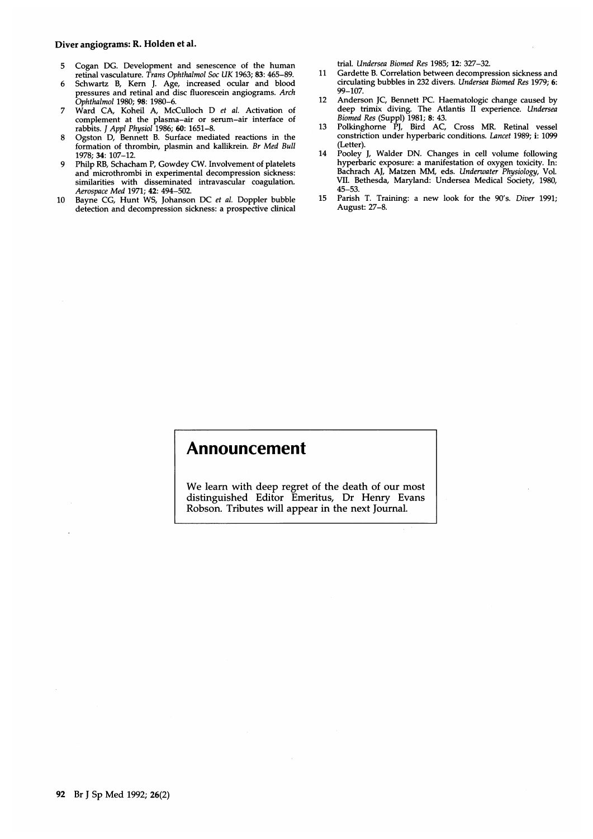#### Diver angiograms: R. Holden et al.

- 5 Cogan DG. Development and senescence of the human retinal vasculature. Trans Ophthalmol Soc UK 1963; 83: 465-89.
- 6 Schwartz B, Kern J. Age, increased ocular and blood pressures and retinal and disc fluorescein angiograms. Arch Ophthalmol 1980; 98: 1980-6.
- 7 Ward CA, Koheil A, McCulloch D et al. Activation of complement at the plasma-air or serum-air interface of rabbits. J Appl Physiol 1986; 60: 1651-8.
- 8 Ogston D, Bennett B. Surface mediated reactions in the formation of thrombin, plasmin and kallikrein. Br Med Bull 1978; 34: 107-12.
- 9 Philp RB, Schacham P. Gowdey CW. Involvement of platelets and microthrombi in experimental decompression sickness: similarities with disseminated intravascular coagulation. Aerospace Med 1971; 42: 494-502.
- 10 Bayne CG, Hunt WS, Johanson DC et al. Doppler bubble detection and decompression sickness: a prospective clinical

trial. Undersea Biomed Res 1985; 12: 327-32.

- 11 Gardette B. Correlation between decompression sickness and circulating bubbles in 232 divers. Undersea Biomed Res 1979; 6: 99-107.
- 12 Anderson JC, Bennett PC. Haematologic change caused by deep trimix diving. The Atlantis II experience. Undersea Biomed Res (Suppl) 1981; 8: 43.
- 13 Polkinghorne PJ, Bird AC, Cross MR. Retinal vessel constriction under hyperbaric conditions. Lancet 1989; i: 1099 (Letter).
- 14 Pooley J, Walder DN. Changes in cell volume following hyperbaric exposure: a manifestation of oxygen toxicity. In: Bachrach AJ, Matzen MM, eds. Underwater Physiology, Vol. VII. Bethesda, Maryland: Undersea Medical Society, 1980, 45-53.
- 15 Parish T. Training: a new look for the <sup>90</sup>'s. Diver 1991; August: 27-8.

## Announcement

We learn with deep regret of the death of our most distinguished Editor Emeritus, Dr Henry Evans Robson. Tributes will appear in the next Journal.